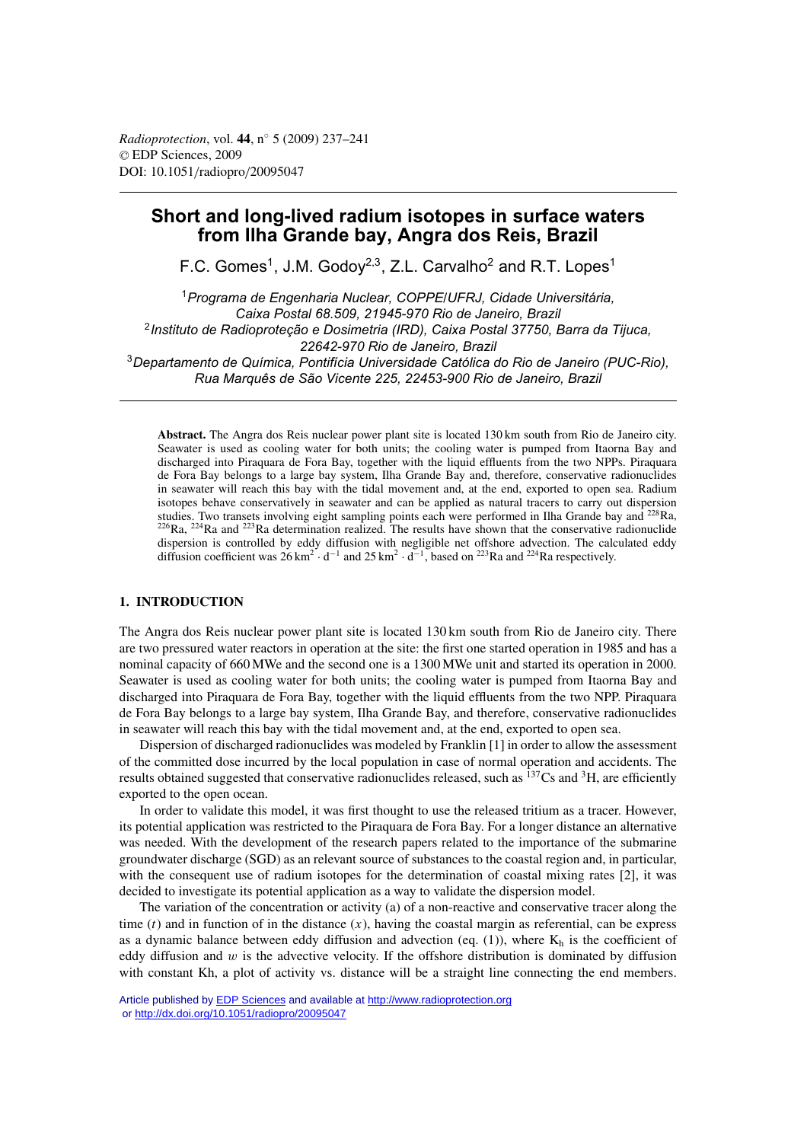# **Short and long-lived radium isotopes in surface waters from Ilha Grande bay, Angra dos Reis, Brazil**

F.C. Gomes<sup>1</sup>, J.M. Godov<sup>2,3</sup>, Z.L. Carvalho<sup>2</sup> and R.T. Lopes<sup>1</sup>

<sup>1</sup>*Programa de Engenharia Nuclear, COPPE/UFRJ, Cidade Universitária, Caixa Postal 68.509, 21945-970 Rio de Janeiro, Brazil* <sup>2</sup>*Instituto de Radioproteção e Dosimetria (IRD), Caixa Postal 37750, Barra da Tijuca, 22642-970 Rio de Janeiro, Brazil* <sup>3</sup>*Departamento de Química, Pontifícia Universidade Católica do Rio de Janeiro (PUC-Rio), Rua Marquês de São Vicente 225, 22453-900 Rio de Janeiro, Brazil*

**Abstract.** The Angra dos Reis nuclear power plant site is located 130 km south from Rio de Janeiro city. Seawater is used as cooling water for both units; the cooling water is pumped from Itaorna Bay and discharged into Piraquara de Fora Bay, together with the liquid effluents from the two NPPs. Piraquara de Fora Bay belongs to a large bay system, Ilha Grande Bay and, therefore, conservative radionuclides in seawater will reach this bay with the tidal movement and, at the end, exported to open sea. Radium isotopes behave conservatively in seawater and can be applied as natural tracers to carry out dispersion studies. Two transets involving eight sampling points each were performed in Ilha Grande bay and <sup>228</sup>Ra,  $^{226}$ Ra,  $^{224}$ Ra and  $^{223}$ Ra determination realized. The results have shown that the conservative radionuclide dispersion is controlled by eddy diffusion with negligible net offshore advection. The calculated eddy diffusion coefficient was  $26 \text{ km}^2 \cdot \text{d}^{-1}$  and  $25 \text{ km}^2 \cdot \text{d}^{-1}$ , based on <sup>223</sup>Ra and <sup>224</sup>Ra respectively.

# **1. INTRODUCTION**

The Angra dos Reis nuclear power plant site is located 130 km south from Rio de Janeiro city. There are two pressured water reactors in operation at the site: the first one started operation in 1985 and has a nominal capacity of 660 MWe and the second one is a 1300 MWe unit and started its operation in 2000. Seawater is used as cooling water for both units; the cooling water is pumped from Itaorna Bay and discharged into Piraquara de Fora Bay, together with the liquid effluents from the two NPP. Piraquara de Fora Bay belongs to a large bay system, Ilha Grande Bay, and therefore, conservative radionuclides in seawater will reach this bay with the tidal movement and, at the end, exported to open sea.

Dispersion of discharged radionuclides was modeled by Franklin [1] in order to allow the assessment of the committed dose incurred by the local population in case of normal operation and accidents. The results obtained suggested that conservative radionuclides released, such as <sup>137</sup>Cs and <sup>3</sup>H, are efficiently exported to the open ocean.

In order to validate this model, it was first thought to use the released tritium as a tracer. However, its potential application was restricted to the Piraquara de Fora Bay. For a longer distance an alternative was needed. With the development of the research papers related to the importance of the submarine groundwater discharge (SGD) as an relevant source of substances to the coastal region and, in particular, with the consequent use of radium isotopes for the determination of coastal mixing rates [2], it was decided to investigate its potential application as a way to validate the dispersion model.

The variation of the concentration or activity (a) of a non-reactive and conservative tracer along the time  $(t)$  and in function of in the distance  $(x)$ , having the coastal margin as referential, can be express as a dynamic balance between eddy diffusion and advection (eq. (1)), where  $K_h$  is the coefficient of eddy diffusion and  $w$  is the advective velocity. If the offshore distribution is dominated by diffusion with constant Kh, a plot of activity vs. distance will be a straight line connecting the end members.

Article published by **EDP Sciences** and available at<http://www.radioprotection.org> or <http://dx.doi.org/10.1051/radiopro/20095047>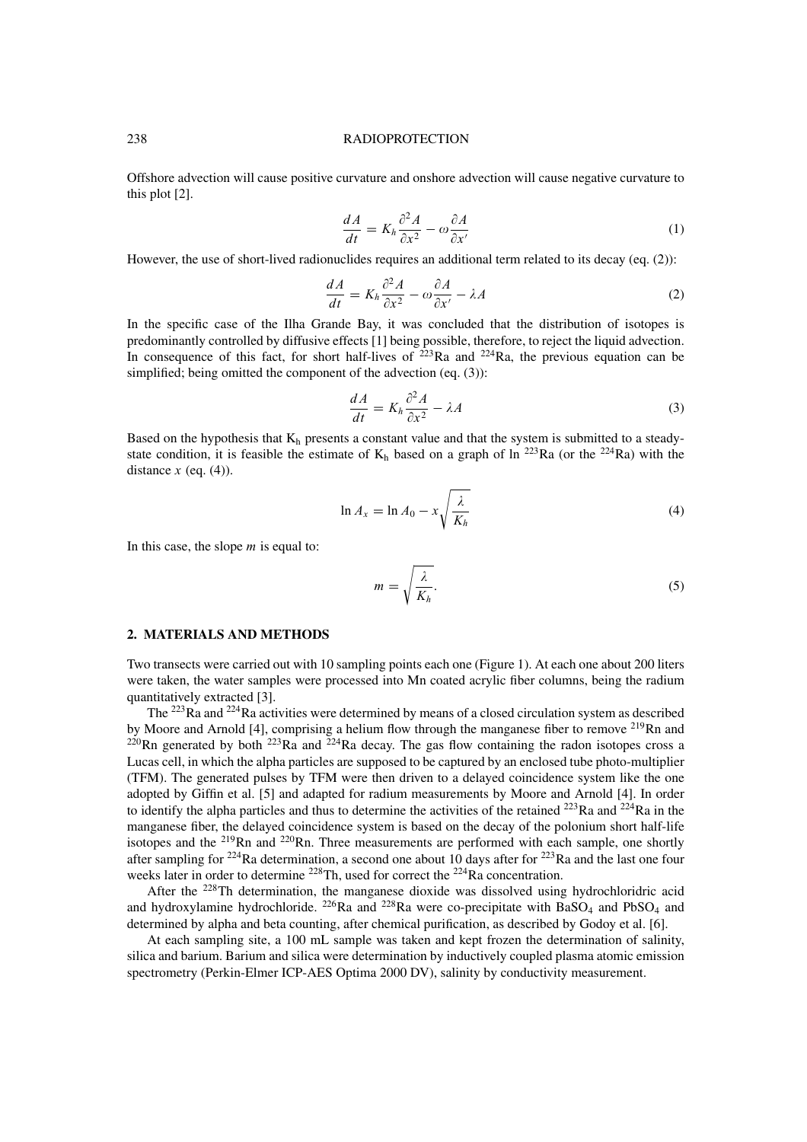#### 238 RADIOPROTECTION

Offshore advection will cause positive curvature and onshore advection will cause negative curvature to this plot [2].

$$
\frac{dA}{dt} = K_h \frac{\partial^2 A}{\partial x^2} - \omega \frac{\partial A}{\partial x'} \tag{1}
$$

However, the use of short-lived radionuclides requires an additional term related to its decay (eq. (2)):

$$
\frac{dA}{dt} = K_h \frac{\partial^2 A}{\partial x^2} - \omega \frac{\partial A}{\partial x'} - \lambda A \tag{2}
$$

In the specific case of the Ilha Grande Bay, it was concluded that the distribution of isotopes is predominantly controlled by diffusive effects [1] being possible, therefore, to reject the liquid advection. In consequence of this fact, for short half-lives of  $2^{23}$ Ra and  $2^{24}$ Ra, the previous equation can be simplified; being omitted the component of the advection (eq. (3)):

$$
\frac{dA}{dt} = K_h \frac{\partial^2 A}{\partial x^2} - \lambda A \tag{3}
$$

Based on the hypothesis that  $K_h$  presents a constant value and that the system is submitted to a steadystate condition, it is feasible the estimate of  $K_h$  based on a graph of ln <sup>223</sup>Ra (or the <sup>224</sup>Ra) with the distance  $x$  (eq. (4)).

$$
\ln A_x = \ln A_0 - x \sqrt{\frac{\lambda}{K_h}}
$$
\n(4)

In this case, the slope  $m$  is equal to:

$$
m = \sqrt{\frac{\lambda}{K_h}}.\tag{5}
$$

### **2. MATERIALS AND METHODS**

Two transects were carried out with 10 sampling points each one (Figure 1). At each one about 200 liters were taken, the water samples were processed into Mn coated acrylic fiber columns, being the radium quantitatively extracted [3].

The <sup>223</sup>Ra and <sup>224</sup>Ra activities were determined by means of a closed circulation system as described by Moore and Arnold [4], comprising a helium flow through the manganese fiber to remove <sup>219</sup>Rn and  $^{220}$ Rn generated by both  $^{223}$ Ra and  $^{224}$ Ra decay. The gas flow containing the radon isotopes cross a Lucas cell, in which the alpha particles are supposed to be captured by an enclosed tube photo-multiplier (TFM). The generated pulses by TFM were then driven to a delayed coincidence system like the one adopted by Giffin et al. [5] and adapted for radium measurements by Moore and Arnold [4]. In order to identify the alpha particles and thus to determine the activities of the retained  $^{223}$ Ra and  $^{224}$ Ra in the manganese fiber, the delayed coincidence system is based on the decay of the polonium short half-life isotopes and the <sup>219</sup>Rn and <sup>220</sup>Rn. Three measurements are performed with each sample, one shortly after sampling for  $^{224}$ Ra determination, a second one about 10 days after for  $^{223}$ Ra and the last one four weeks later in order to determine <sup>228</sup>Th, used for correct the <sup>224</sup>Ra concentration.

After the <sup>228</sup>Th determination, the manganese dioxide was dissolved using hydrochloridric acid and hydroxylamine hydrochloride. <sup>226</sup>Ra and <sup>228</sup>Ra were co-precipitate with BaSO<sub>4</sub> and PbSO<sub>4</sub> and determined by alpha and beta counting, after chemical purification, as described by Godoy et al. [6].

At each sampling site, a 100 mL sample was taken and kept frozen the determination of salinity, silica and barium. Barium and silica were determination by inductively coupled plasma atomic emission spectrometry (Perkin-Elmer ICP-AES Optima 2000 DV), salinity by conductivity measurement.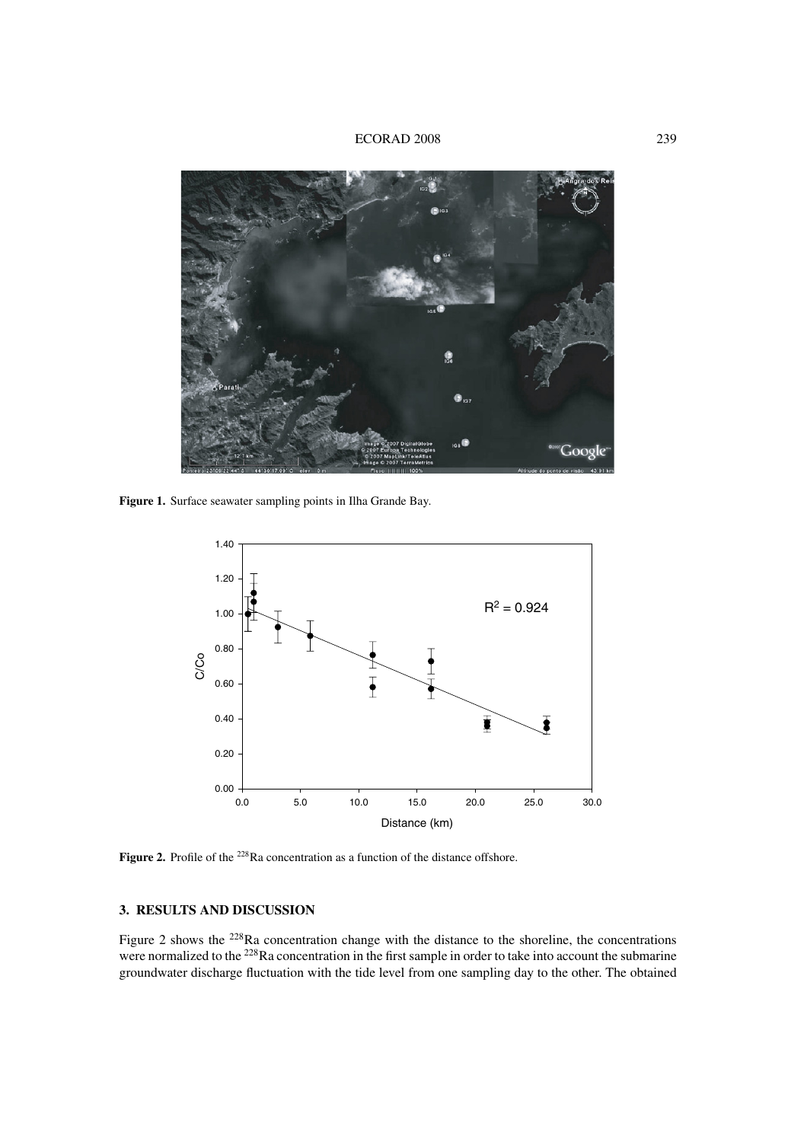# ECORAD 2008 239



**Figure 1.** Surface seawater sampling points in Ilha Grande Bay.



**Figure 2.** Profile of the <sup>228</sup>Ra concentration as a function of the distance offshore.

# **3. RESULTS AND DISCUSSION**

Figure 2 shows the  $^{228}$ Ra concentration change with the distance to the shoreline, the concentrations were normalized to the <sup>228</sup>Ra concentration in the first sample in order to take into account the submarine groundwater discharge fluctuation with the tide level from one sampling day to the other. The obtained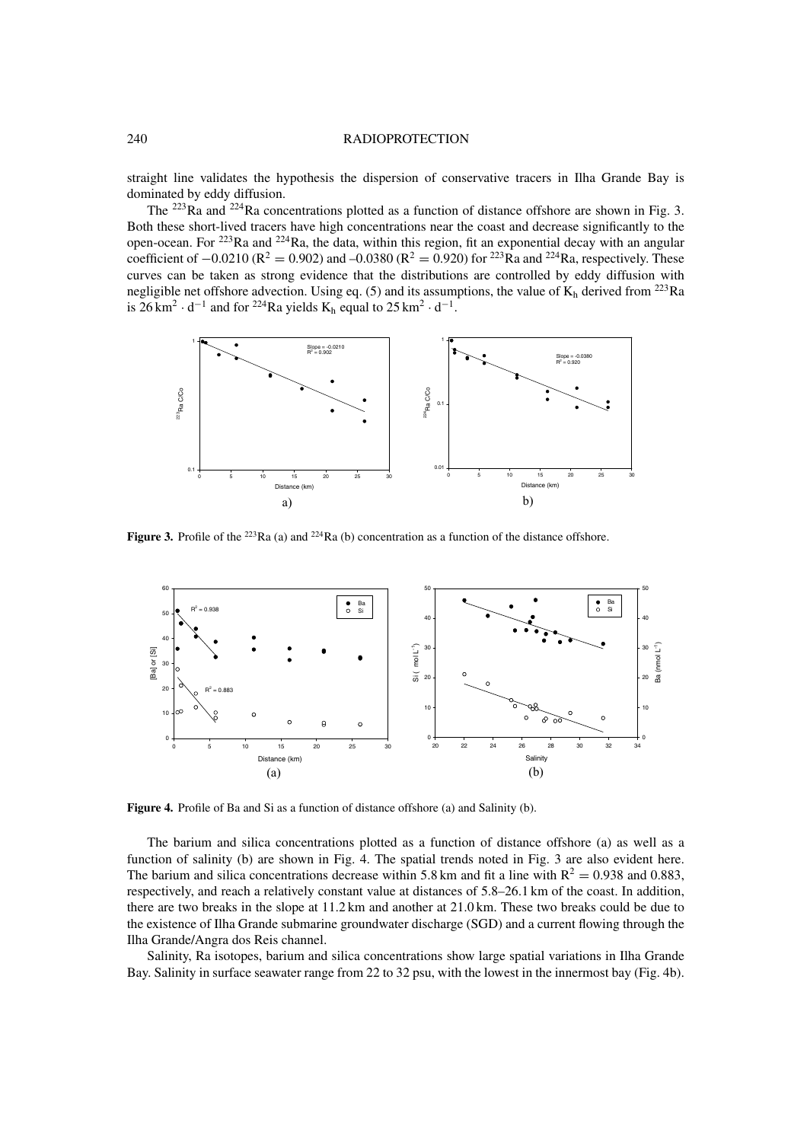#### 240 RADIOPROTECTION

straight line validates the hypothesis the dispersion of conservative tracers in Ilha Grande Bay is dominated by eddy diffusion.

The <sup>223</sup>Ra and <sup>224</sup>Ra concentrations plotted as a function of distance offshore are shown in Fig. 3. Both these short-lived tracers have high concentrations near the coast and decrease significantly to the open-ocean. For 223Ra and 224Ra, the data, within this region, fit an exponential decay with an angular coefficient of  $-0.0210$  ( $\mathbb{R}^2 = 0.902$ ) and  $-0.0380$  ( $\mathbb{R}^2 = 0.920$ ) for <sup>223</sup>Ra and <sup>224</sup>Ra, respectively. These curves can be taken as strong evidence that the distributions are controlled by eddy diffusion with negligible net offshore advection. Using eq. (5) and its assumptions, the value of  $K_h$  derived from <sup>223</sup>Ra is  $26 \text{ km}^2 \cdot \text{d}^{-1}$  and for <sup>224</sup>Ra yields K<sub>h</sub> equal to  $25 \text{ km}^2 \cdot \text{d}^{-1}$ .



**Figure 3.** Profile of the <sup>223</sup>Ra (a) and <sup>224</sup>Ra (b) concentration as a function of the distance offshore.



**Figure 4.** Profile of Ba and Si as a function of distance offshore (a) and Salinity (b).

The barium and silica concentrations plotted as a function of distance offshore (a) as well as a function of salinity (b) are shown in Fig. 4. The spatial trends noted in Fig. 3 are also evident here. The barium and silica concentrations decrease within 5.8 km and fit a line with  $R^2 = 0.938$  and 0.883, respectively, and reach a relatively constant value at distances of 5.8–26.1 km of the coast. In addition, there are two breaks in the slope at 11.2 km and another at 21.0 km. These two breaks could be due to the existence of Ilha Grande submarine groundwater discharge (SGD) and a current flowing through the Ilha Grande/Angra dos Reis channel.

Salinity, Ra isotopes, barium and silica concentrations show large spatial variations in Ilha Grande Bay. Salinity in surface seawater range from 22 to 32 psu, with the lowest in the innermost bay (Fig. 4b).